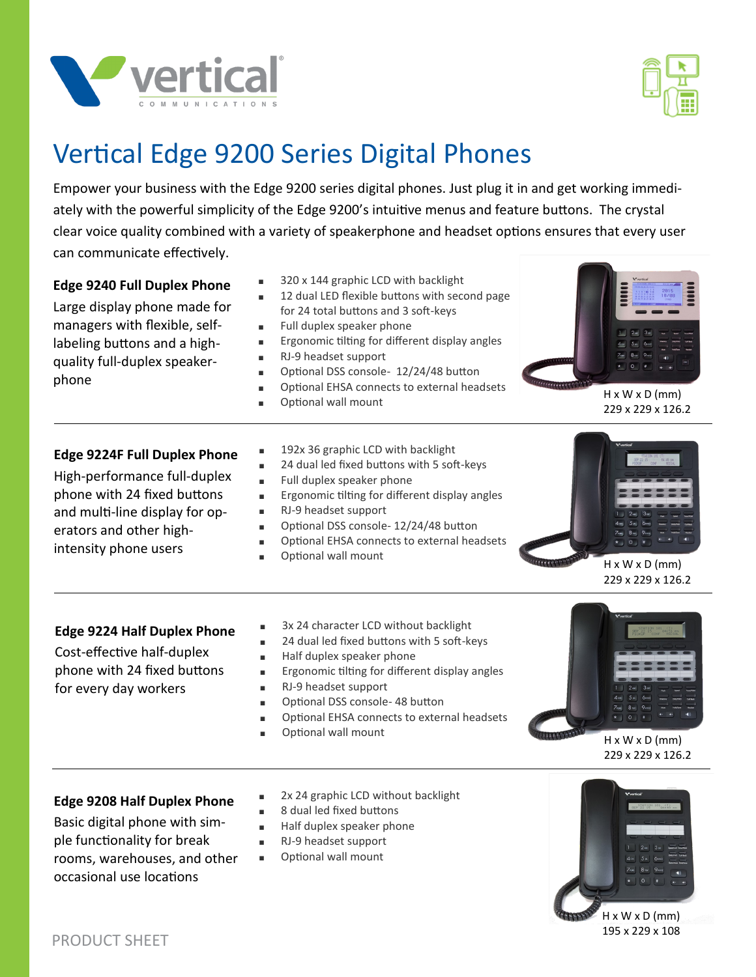



# Vertical Edge 9200 Series Digital Phones

Empower your business with the Edge 9200 series digital phones. Just plug it in and get working immediately with the powerful simplicity of the Edge 9200's intuitive menus and feature buttons. The crystal clear voice quality combined with a variety of speakerphone and headset options ensures that every user can communicate effectively.

| <b>Edge 9240 Full Duplex Phone</b><br>Large display phone made for<br>managers with flexible, self-<br>labeling buttons and a high-<br>quality full-duplex speaker-<br>phone             | 320 x 144 graphic LCD with backlight<br>12 dual LED flexible buttons with second page<br>for 24 total buttons and 3 soft-keys<br>Full duplex speaker phone<br>٠<br>Ergonomic tilting for different display angles<br>٠<br>RJ-9 headset support<br>٠<br>Optional DSS console- 12/24/48 button<br>Optional EHSA connects to external headsets<br>٠<br>Optional wall mount | $H \times W \times D$ (mm)<br>229 x 229 x 126.2 |
|------------------------------------------------------------------------------------------------------------------------------------------------------------------------------------------|-------------------------------------------------------------------------------------------------------------------------------------------------------------------------------------------------------------------------------------------------------------------------------------------------------------------------------------------------------------------------|-------------------------------------------------|
| <b>Edge 9224F Full Duplex Phone</b><br>High-performance full-duplex<br>phone with 24 fixed buttons<br>and multi-line display for op-<br>erators and other high-<br>intensity phone users | 192x 36 graphic LCD with backlight<br>24 dual led fixed buttons with 5 soft-keys<br>٠<br>Full duplex speaker phone<br>$\blacksquare$<br>Ergonomic tilting for different display angles<br>٠<br>RJ-9 headset support<br>٠<br>Optional DSS console-12/24/48 button<br>Optional EHSA connects to external headsets<br>Optional wall mount                                  | $H \times W \times D$ (mm)<br>229 x 229 x 126.2 |
| <b>Edge 9224 Half Duplex Phone</b><br>Cost-effective half-duplex<br>phone with 24 fixed buttons<br>for every day workers                                                                 | 3x 24 character LCD without backlight<br>٠<br>24 dual led fixed buttons with 5 soft-keys<br>$\blacksquare$<br>Half duplex speaker phone<br>٠<br>Ergonomic tilting for different display angles<br>$\blacksquare$<br>RJ-9 headset support<br>٠<br>Optional DSS console- 48 button                                                                                        | <b>M</b> wrtical                                |

- <sup>∎</sup> Optional EHSA connects to external headsets
- <sup>∎</sup> Optional wall mount

 $H \times W \times D$  (mm) 229 x 229 x 126.2

### **Edge 9208 Half Duplex Phone**

Basic digital phone with simple functionality for break rooms, warehouses, and other occasional use locations

- 2x 24 graphic LCD without backlight
- <sup>∎</sup> 8 dual led fixed buttons
- Half duplex speaker phone
- <sup>∎</sup> RJ-9 headset support
- Optional wall mount



H x W x D (mm) 195 x 229 x 108

PRODUCT SHEET